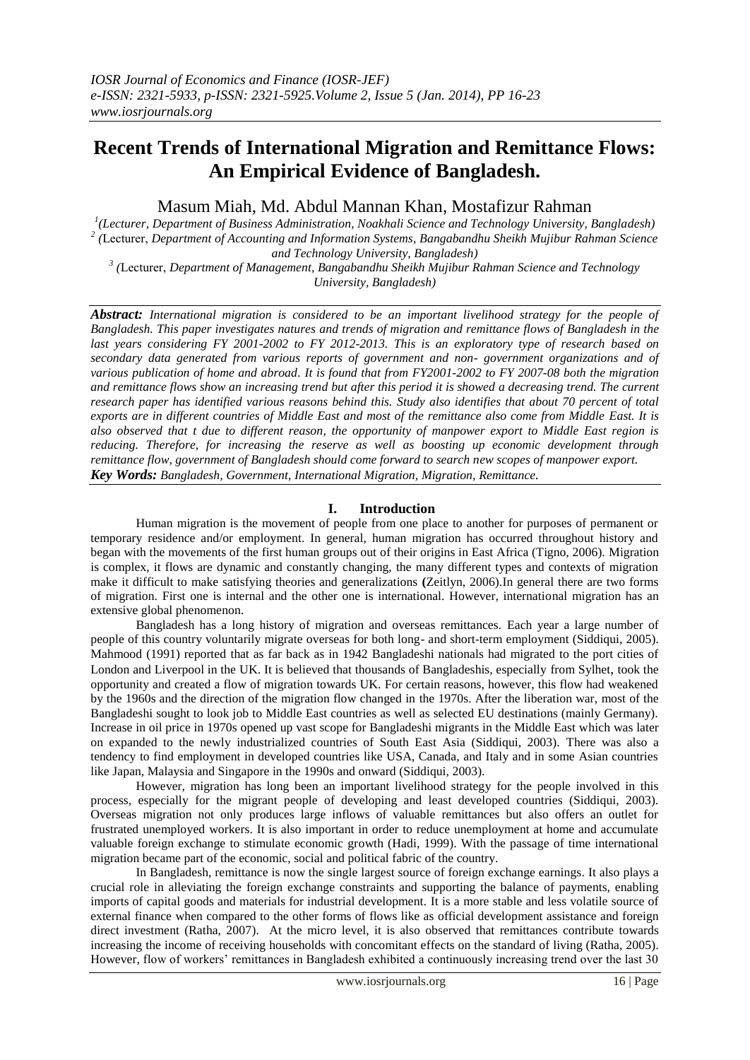# **Recent Trends of International Migration and Remittance Flows: An Empirical Evidence of Bangladesh.**

Masum Miah, Md. Abdul Mannan Khan, Mostafizur Rahman

*1 (Lecturer, Department of Business Administration, Noakhali Science and Technology University, Bangladesh) 2 (*Lecturer, *Department of Accounting and Information Systems, Bangabandhu Sheikh Mujibur Rahman Science and Technology University, Bangladesh)*

*3 (*Lecturer, *Department of Management, Bangabandhu Sheikh Mujibur Rahman Science and Technology University, Bangladesh)*

*Abstract: International migration is considered to be an important livelihood strategy for the people of Bangladesh. This paper investigates natures and trends of migration and remittance flows of Bangladesh in the last years considering FY 2001-2002 to FY 2012-2013. This is an exploratory type of research based on secondary data generated from various reports of government and non- government organizations and of various publication of home and abroad. It is found that from FY2001-2002 to FY 2007-08 both the migration and remittance flows show an increasing trend but after this period it is showed a decreasing trend. The current research paper has identified various reasons behind this. Study also identifies that about 70 percent of total exports are in different countries of Middle East and most of the remittance also come from Middle East. It is also observed that t due to different reason, the opportunity of manpower export to Middle East region is reducing. Therefore, for increasing the reserve as well as boosting up economic development through remittance flow, government of Bangladesh should come forward to search new scopes of manpower export. Key Words: Bangladesh, Government, International Migration, Migration, Remittance.*

## **I. Introduction**

Human migration is the movement of people from one place to another for purposes of permanent or temporary residence and/or employment. In general, human migration has occurred throughout history and began with the movements of the first human groups out of their origins in East Africa (Tigno, 2006). Migration is complex, it flows are dynamic and constantly changing, the many different types and contexts of migration make it difficult to make satisfying theories and generalizations **(**Zeitlyn, 2006).In general there are two forms of migration. First one is internal and the other one is international. However, international migration has an extensive global phenomenon.

Bangladesh has a long history of migration and overseas remittances. Each year a large number of people of this country voluntarily migrate overseas for both long- and short-term employment (Siddiqui, 2005). Mahmood (1991) reported that as far back as in 1942 Bangladeshi nationals had migrated to the port cities of London and Liverpool in the UK. It is believed that thousands of Bangladeshis, especially from Sylhet, took the opportunity and created a flow of migration towards UK. For certain reasons, however, this flow had weakened by the 1960s and the direction of the migration flow changed in the 1970s. After the liberation war, most of the Bangladeshi sought to look job to Middle East countries as well as selected EU destinations (mainly Germany). Increase in oil price in 1970s opened up vast scope for Bangladeshi migrants in the Middle East which was later on expanded to the newly industrialized countries of South East Asia (Siddiqui, 2003). There was also a tendency to find employment in developed countries like USA, Canada, and Italy and in some Asian countries like Japan, Malaysia and Singapore in the 1990s and onward (Siddiqui, 2003).

However, migration has long been an important livelihood strategy for the people involved in this process, especially for the migrant people of developing and least developed countries (Siddiqui, 2003). Overseas migration not only produces large inflows of valuable remittances but also offers an outlet for frustrated unemployed workers. It is also important in order to reduce unemployment at home and accumulate valuable foreign exchange to stimulate economic growth (Hadi, 1999). With the passage of time international migration became part of the economic, social and political fabric of the country.

In Bangladesh, remittance is now the single largest source of foreign exchange earnings. It also plays a crucial role in alleviating the foreign exchange constraints and supporting the balance of payments, enabling imports of capital goods and materials for industrial development. It is a more stable and less volatile source of external finance when compared to the other forms of flows like as official development assistance and foreign direct investment (Ratha, 2007). At the micro level, it is also observed that remittances contribute towards increasing the income of receiving households with concomitant effects on the standard of living (Ratha, 2005). However, flow of workers' remittances in Bangladesh exhibited a continuously increasing trend over the last 30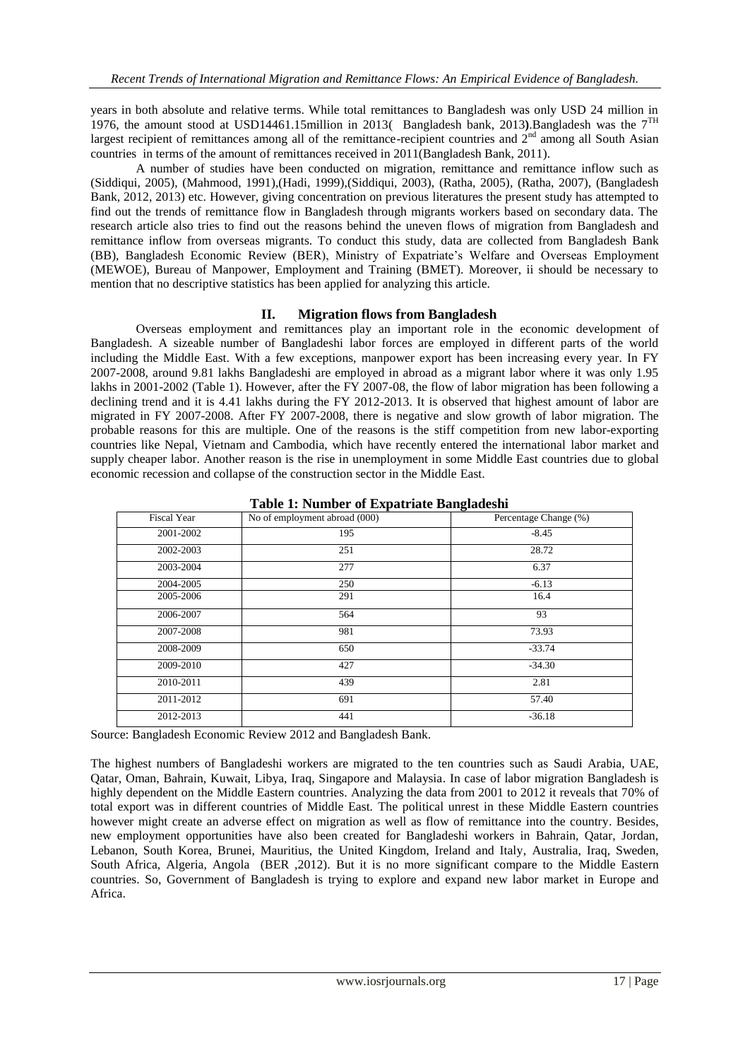years in both absolute and relative terms. While total remittances to Bangladesh was only USD 24 million in 1976, the amount stood at USD14461.15million in 2013( Bangladesh bank, 2013**)**.Bangladesh was the 7TH largest recipient of remittances among all of the remittance-recipient countries and  $2<sup>nd</sup>$  among all South Asian countries in terms of the amount of remittances received in 2011(Bangladesh Bank, 2011).

A number of studies have been conducted on migration, remittance and remittance inflow such as (Siddiqui, 2005), (Mahmood, 1991),(Hadi, 1999),(Siddiqui, 2003), (Ratha, 2005), (Ratha, 2007), (Bangladesh Bank, 2012, 2013) etc. However, giving concentration on previous literatures the present study has attempted to find out the trends of remittance flow in Bangladesh through migrants workers based on secondary data. The research article also tries to find out the reasons behind the uneven flows of migration from Bangladesh and remittance inflow from overseas migrants. To conduct this study, data are collected from Bangladesh Bank (BB), Bangladesh Economic Review (BER), Ministry of Expatriate's Welfare and Overseas Employment (MEWOE), Bureau of Manpower, Employment and Training (BMET). Moreover, ii should be necessary to mention that no descriptive statistics has been applied for analyzing this article.

#### **II. Migration flows from Bangladesh**

Overseas employment and remittances play an important role in the economic development of Bangladesh. A sizeable number of Bangladeshi labor forces are employed in different parts of the world including the Middle East. With a few exceptions, manpower export has been increasing every year. In FY 2007-2008, around 9.81 lakhs Bangladeshi are employed in abroad as a migrant labor where it was only 1.95 lakhs in 2001-2002 (Table 1). However, after the FY 2007-08, the flow of labor migration has been following a declining trend and it is 4.41 lakhs during the FY 2012-2013. It is observed that highest amount of labor are migrated in FY 2007-2008. After FY 2007-2008, there is negative and slow growth of labor migration. The probable reasons for this are multiple. One of the reasons is the stiff competition from new labor-exporting countries like Nepal, Vietnam and Cambodia, which have recently entered the international labor market and supply cheaper labor. Another reason is the rise in unemployment in some Middle East countries due to global economic recession and collapse of the construction sector in the Middle East.

| <b>Fiscal Year</b> | No of employment abroad (000) | Percentage Change (%) |
|--------------------|-------------------------------|-----------------------|
| 2001-2002          | 195                           | $-8.45$               |
| 2002-2003          | 251                           | 28.72                 |
| 2003-2004          | 277                           | 6.37                  |
| 2004-2005          | 250                           | $-6.13$               |
| 2005-2006          | 291                           | 16.4                  |
| 2006-2007          | 564                           | 93                    |
| 2007-2008          | 981                           | 73.93                 |
| 2008-2009          | 650                           | $-33.74$              |
| 2009-2010          | 427                           | $-34.30$              |
| 2010-2011          | 439                           | 2.81                  |
| 2011-2012          | 691                           | 57.40                 |
| 2012-2013          | 441                           | $-36.18$              |

**Table 1: Number of Expatriate Bangladeshi**

Source: Bangladesh Economic Review 2012 and Bangladesh Bank.

The highest numbers of Bangladeshi workers are migrated to the ten countries such as Saudi Arabia, UAE, Qatar, Oman, Bahrain, Kuwait, Libya, Iraq, Singapore and Malaysia. In case of labor migration Bangladesh is highly dependent on the Middle Eastern countries. Analyzing the data from 2001 to 2012 it reveals that 70% of total export was in different countries of Middle East. The political unrest in these Middle Eastern countries however might create an adverse effect on migration as well as flow of remittance into the country. Besides, new employment opportunities have also been created for Bangladeshi workers in Bahrain, Qatar, Jordan, Lebanon, South Korea, Brunei, Mauritius, the United Kingdom, Ireland and Italy, Australia, Iraq, Sweden, South Africa, Algeria, Angola (BER ,2012). But it is no more significant compare to the Middle Eastern countries. So, Government of Bangladesh is trying to explore and expand new labor market in Europe and Africa.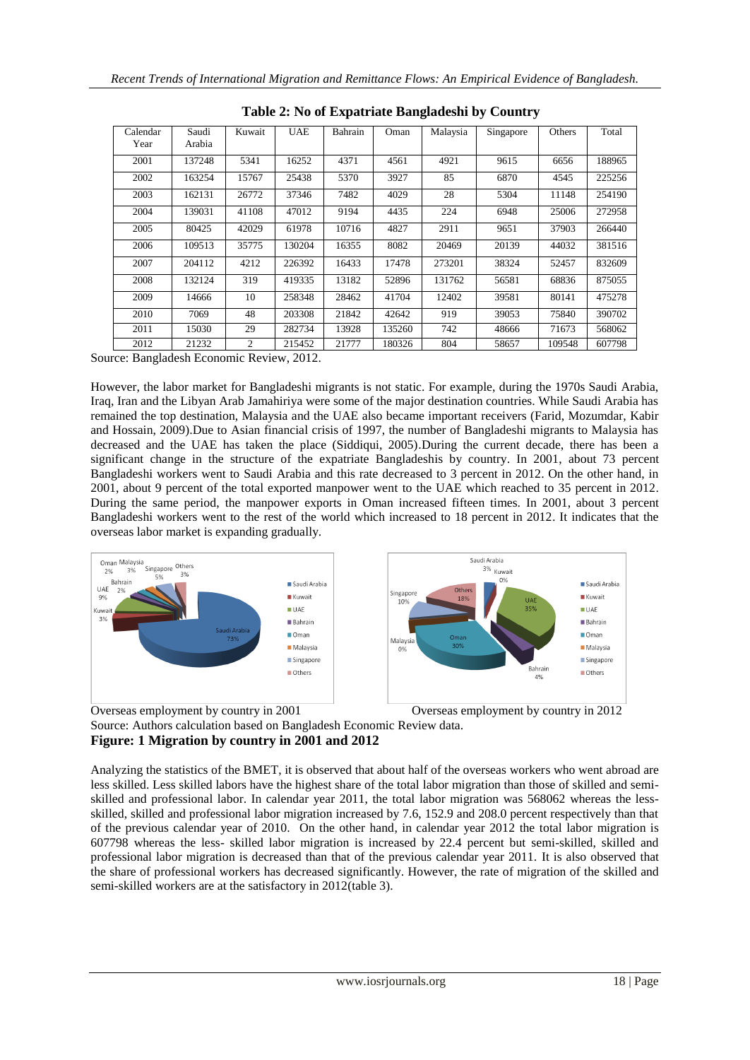| Calendar<br>Year | Saudi<br>Arabia | Kuwait | <b>UAE</b> | Bahrain | Oman   | Malaysia | Singapore | Others | Total  |
|------------------|-----------------|--------|------------|---------|--------|----------|-----------|--------|--------|
| 2001             | 137248          | 5341   | 16252      | 4371    | 4561   | 4921     | 9615      | 6656   | 188965 |
| 2002             | 163254          | 15767  | 25438      | 5370    | 3927   | 85       | 6870      | 4545   | 225256 |
| 2003             | 162131          | 26772  | 37346      | 7482    | 4029   | 28       | 5304      | 11148  | 254190 |
| 2004             | 139031          | 41108  | 47012      | 9194    | 4435   | 224      | 6948      | 25006  | 272958 |
| 2005             | 80425           | 42029  | 61978      | 10716   | 4827   | 2911     | 9651      | 37903  | 266440 |
| 2006             | 109513          | 35775  | 130204     | 16355   | 8082   | 20469    | 20139     | 44032  | 381516 |
| 2007             | 204112          | 4212   | 226392     | 16433   | 17478  | 273201   | 38324     | 52457  | 832609 |
| 2008             | 132124          | 319    | 419335     | 13182   | 52896  | 131762   | 56581     | 68836  | 875055 |
| 2009             | 14666           | 10     | 258348     | 28462   | 41704  | 12402    | 39581     | 80141  | 475278 |
| 2010             | 7069            | 48     | 203308     | 21842   | 42642  | 919      | 39053     | 75840  | 390702 |
| 2011             | 15030           | 29     | 282734     | 13928   | 135260 | 742      | 48666     | 71673  | 568062 |
| 2012             | 21232           | 2      | 215452     | 21777   | 180326 | 804      | 58657     | 109548 | 607798 |

**Table 2: No of Expatriate Bangladeshi by Country**

Source: Bangladesh Economic Review, 2012.

However, the labor market for Bangladeshi migrants is not static. For example, during the 1970s Saudi Arabia, Iraq, Iran and the Libyan Arab Jamahiriya were some of the major destination countries. While Saudi Arabia has remained the top destination, Malaysia and the UAE also became important receivers (Farid, Mozumdar, Kabir and Hossain, 2009).Due to Asian financial crisis of 1997, the number of Bangladeshi migrants to Malaysia has decreased and the UAE has taken the place (Siddiqui, 2005).During the current decade, there has been a significant change in the structure of the expatriate Bangladeshis by country. In 2001, about 73 percent Bangladeshi workers went to Saudi Arabia and this rate decreased to 3 percent in 2012. On the other hand, in 2001, about 9 percent of the total exported manpower went to the UAE which reached to 35 percent in 2012. During the same period, the manpower exports in Oman increased fifteen times. In 2001, about 3 percent Bangladeshi workers went to the rest of the world which increased to 18 percent in 2012. It indicates that the overseas labor market is expanding gradually.



Overseas employment by country in 2001 Overseas employment by country in 2012 Source: Authors calculation based on Bangladesh Economic Review data. **Figure: 1 Migration by country in 2001 and 2012**

Analyzing the statistics of the BMET, it is observed that about half of the overseas workers who went abroad are less skilled. Less skilled labors have the highest share of the total labor migration than those of skilled and semiskilled and professional labor. In calendar year 2011, the total labor migration was 568062 whereas the lessskilled, skilled and professional labor migration increased by 7.6, 152.9 and 208.0 percent respectively than that of the previous calendar year of 2010. On the other hand, in calendar year 2012 the total labor migration is 607798 whereas the less- skilled labor migration is increased by 22.4 percent but semi-skilled, skilled and professional labor migration is decreased than that of the previous calendar year 2011. It is also observed that the share of professional workers has decreased significantly. However, the rate of migration of the skilled and semi-skilled workers are at the satisfactory in 2012(table 3).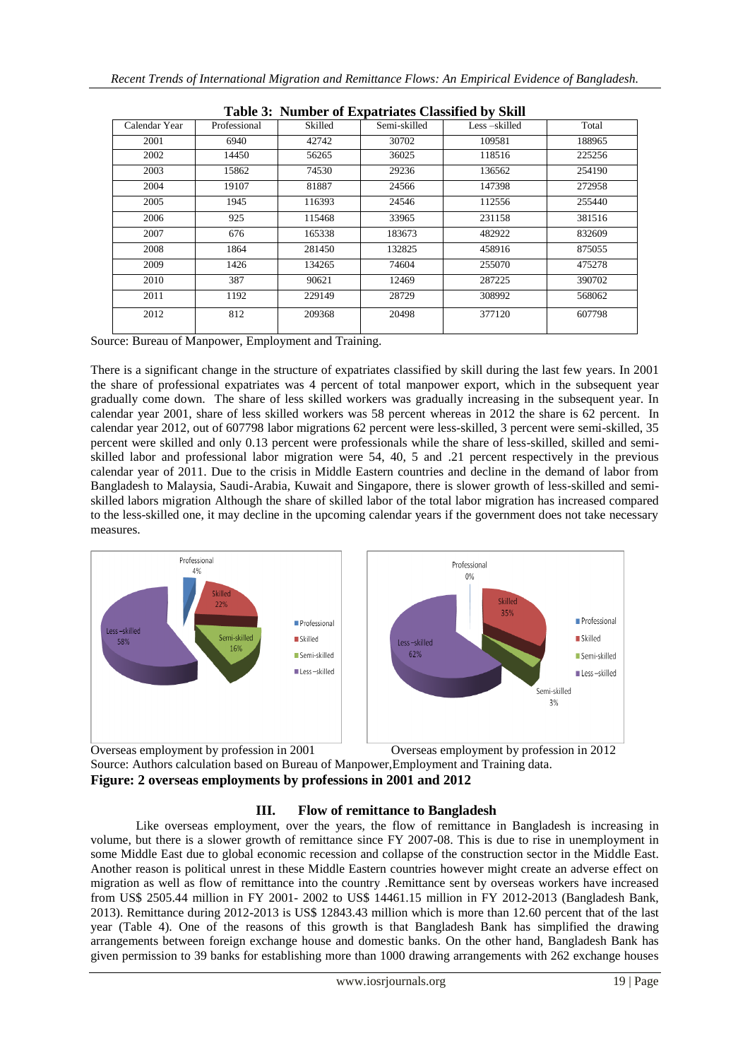| raon of Tumber of Expatrates Chosnica by Shin |              |         |              |              |        |  |  |  |  |  |
|-----------------------------------------------|--------------|---------|--------------|--------------|--------|--|--|--|--|--|
| Calendar Year                                 | Professional | Skilled | Semi-skilled | Less-skilled | Total  |  |  |  |  |  |
| 2001                                          | 6940         | 42742   | 30702        | 109581       | 188965 |  |  |  |  |  |
| 2002                                          | 14450        | 56265   | 36025        | 118516       | 225256 |  |  |  |  |  |
| 2003                                          | 15862        | 74530   | 29236        | 136562       | 254190 |  |  |  |  |  |
| 2004                                          | 19107        | 81887   | 24566        | 147398       | 272958 |  |  |  |  |  |
| 2005                                          | 1945         | 116393  | 24546        | 112556       | 255440 |  |  |  |  |  |
| 2006                                          | 925          | 115468  | 33965        | 231158       | 381516 |  |  |  |  |  |
| 2007                                          | 676          | 165338  | 183673       | 482922       | 832609 |  |  |  |  |  |
| 2008                                          | 1864         | 281450  | 132825       | 458916       | 875055 |  |  |  |  |  |
| 2009                                          | 1426         | 134265  | 74604        | 255070       | 475278 |  |  |  |  |  |
| 2010                                          | 387          | 90621   | 12469        | 287225       | 390702 |  |  |  |  |  |
| 2011                                          | 1192         | 229149  | 28729        | 308992       | 568062 |  |  |  |  |  |
| 2012                                          | 812          | 209368  | 20498        | 377120       | 607798 |  |  |  |  |  |
|                                               |              |         |              |              |        |  |  |  |  |  |

|  | Table 3: Number of Expatriates Classified by Skill |  |  |
|--|----------------------------------------------------|--|--|
|  |                                                    |  |  |

Source: Bureau of Manpower, Employment and Training.

There is a significant change in the structure of expatriates classified by skill during the last few years. In 2001 the share of professional expatriates was 4 percent of total manpower export, which in the subsequent year gradually come down. The share of less skilled workers was gradually increasing in the subsequent year. In calendar year 2001, share of less skilled workers was 58 percent whereas in 2012 the share is 62 percent. In calendar year 2012, out of 607798 labor migrations 62 percent were less-skilled, 3 percent were semi-skilled, 35 percent were skilled and only 0.13 percent were professionals while the share of less-skilled, skilled and semiskilled labor and professional labor migration were 54, 40, 5 and .21 percent respectively in the previous calendar year of 2011. Due to the crisis in Middle Eastern countries and decline in the demand of labor from Bangladesh to Malaysia, Saudi-Arabia, Kuwait and Singapore, there is slower growth of less-skilled and semiskilled labors migration Although the share of skilled labor of the total labor migration has increased compared to the less-skilled one, it may decline in the upcoming calendar years if the government does not take necessary measures.



Overseas employment by profession in 2001 Overseas employment by profession in 2012 Source: Authors calculation based on Bureau of Manpower,Employment and Training data. **Figure: 2 overseas employments by professions in 2001 and 2012**

### **III. Flow of remittance to Bangladesh**

Like overseas employment, over the years, the flow of remittance in Bangladesh is increasing in volume, but there is a slower growth of remittance since FY 2007-08. This is due to rise in unemployment in some Middle East due to global economic recession and collapse of the construction sector in the Middle East. Another reason is political unrest in these Middle Eastern countries however might create an adverse effect on migration as well as flow of remittance into the country .Remittance sent by overseas workers have increased from US\$ 2505.44 million in FY 2001- 2002 to US\$ 14461.15 million in FY 2012-2013 (Bangladesh Bank, 2013). Remittance during 2012-2013 is US\$ 12843.43 million which is more than 12.60 percent that of the last year (Table 4). One of the reasons of this growth is that Bangladesh Bank has simplified the drawing arrangements between foreign exchange house and domestic banks. On the other hand, Bangladesh Bank has given permission to 39 banks for establishing more than 1000 drawing arrangements with 262 exchange houses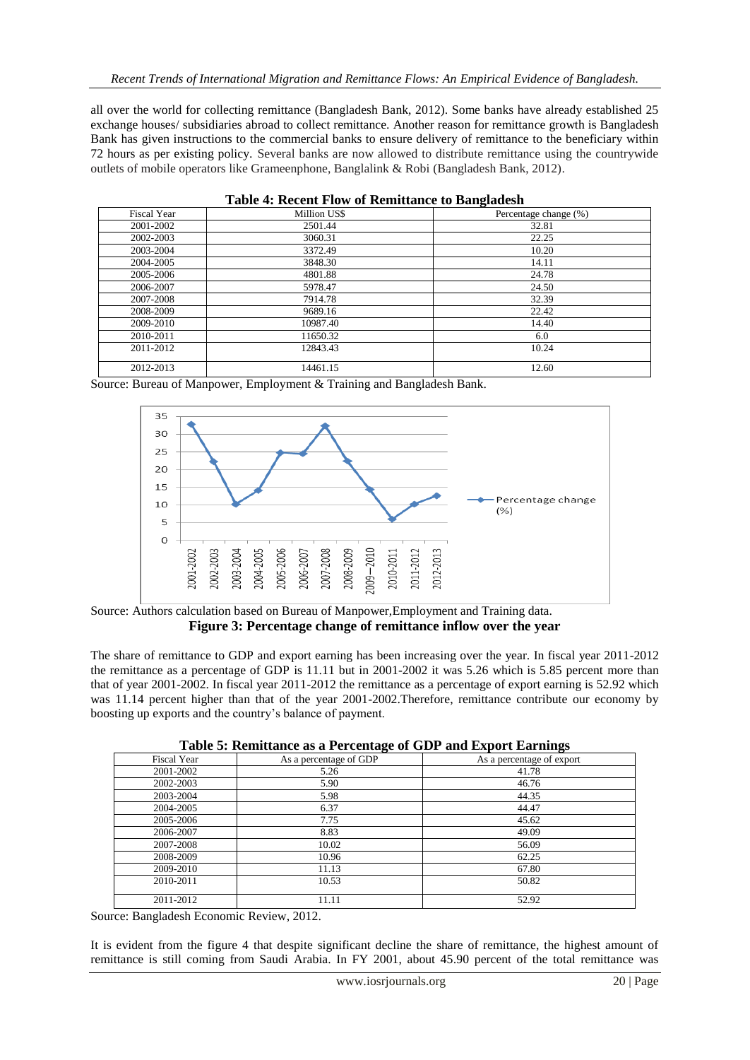all over the world for collecting remittance (Bangladesh Bank, 2012). Some banks have already established 25 exchange houses/ subsidiaries abroad to collect remittance. Another reason for remittance growth is Bangladesh Bank has given instructions to the commercial banks to ensure delivery of remittance to the beneficiary within 72 hours as per existing policy. Several banks are now allowed to distribute remittance using the countrywide outlets of mobile operators like Grameenphone, Banglalink & Robi (Bangladesh Bank, 2012).

| <b>Fiscal Year</b> | Million US\$ | Percentage change (%) |
|--------------------|--------------|-----------------------|
| 2001-2002          | 2501.44      | 32.81                 |
| 2002-2003          | 3060.31      | 22.25                 |
| 2003-2004          | 3372.49      | 10.20                 |
| 2004-2005          | 3848.30      | 14.11                 |
| 2005-2006          | 4801.88      | 24.78                 |
| 2006-2007          | 5978.47      | 24.50                 |
| 2007-2008          | 7914.78      | 32.39                 |
| 2008-2009          | 9689.16      | 22.42                 |
| 2009-2010          | 10987.40     | 14.40                 |
| 2010-2011          | 11650.32     | 6.0                   |
| 2011-2012          | 12843.43     | 10.24                 |
| 2012-2013          | 14461.15     | 12.60                 |

|  |  |  | <b>Table 4: Recent Flow of Remittance to Bangladesh</b> |
|--|--|--|---------------------------------------------------------|
|  |  |  |                                                         |

Source: Bureau of Manpower, Employment & Training and Bangladesh Bank.



Source: Authors calculation based on Bureau of Manpower,Employment and Training data. **Figure 3: Percentage change of remittance inflow over the year**

The share of remittance to GDP and export earning has been increasing over the year. In fiscal year 2011-2012 the remittance as a percentage of GDP is 11.11 but in 2001-2002 it was 5.26 which is 5.85 percent more than that of year 2001-2002. In fiscal year 2011-2012 the remittance as a percentage of export earning is 52.92 which was 11.14 percent higher than that of the year 2001-2002.Therefore, remittance contribute our economy by boosting up exports and the country's balance of payment.

| Fiscal Year | As a percentage of GDP | As a percentage of export |
|-------------|------------------------|---------------------------|
| 2001-2002   | 5.26                   | 41.78                     |
| 2002-2003   | 5.90                   | 46.76                     |
| 2003-2004   | 5.98                   | 44.35                     |
| 2004-2005   | 6.37                   | 44.47                     |
| 2005-2006   | 7.75                   | 45.62                     |
| 2006-2007   | 8.83                   | 49.09                     |
| 2007-2008   | 10.02                  | 56.09                     |
| 2008-2009   | 10.96                  | 62.25                     |
| 2009-2010   | 11.13                  | 67.80                     |
| 2010-2011   | 10.53                  | 50.82                     |
| 2011-2012   | 11.11                  | 52.92                     |

**Table 5: Remittance as a Percentage of GDP and Export Earnings**

Source: Bangladesh Economic Review, 2012.

It is evident from the figure 4 that despite significant decline the share of remittance, the highest amount of remittance is still coming from Saudi Arabia. In FY 2001, about 45.90 percent of the total remittance was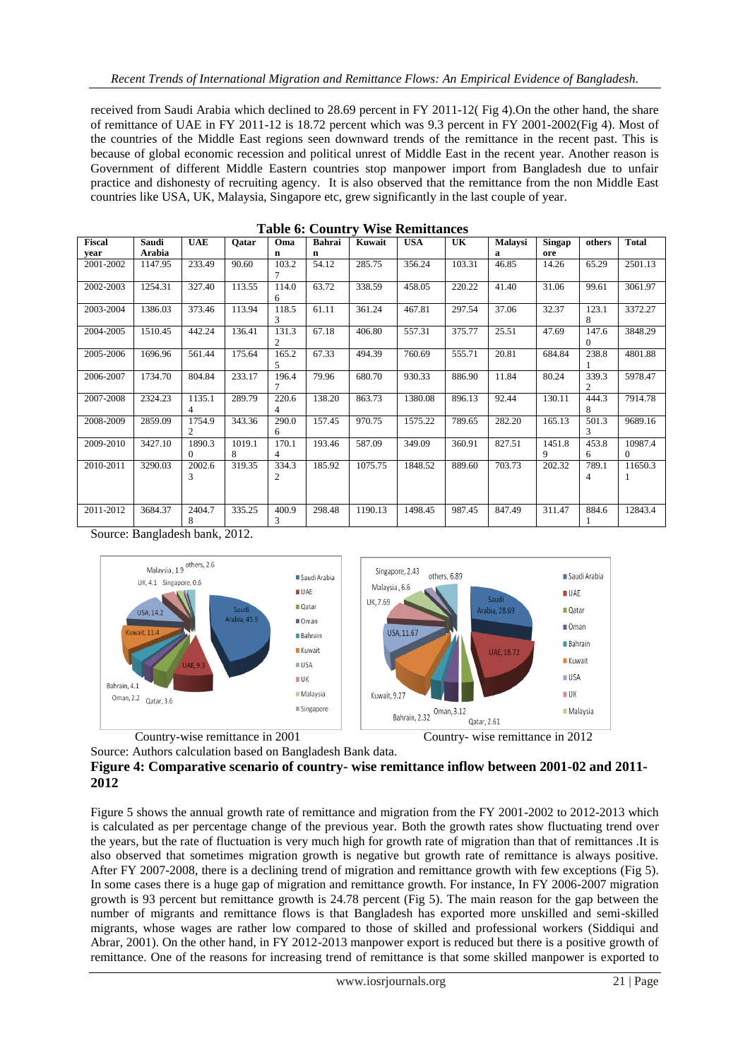received from Saudi Arabia which declined to 28.69 percent in FY 2011-12( Fig 4).On the other hand, the share of remittance of UAE in FY 2011-12 is 18.72 percent which was 9.3 percent in FY 2001-2002(Fig 4). Most of the countries of the Middle East regions seen downward trends of the remittance in the recent past. This is because of global economic recession and political unrest of Middle East in the recent year. Another reason is Government of different Middle Eastern countries stop manpower import from Bangladesh due to unfair practice and dishonesty of recruiting agency. It is also observed that the remittance from the non Middle East countries like USA, UK, Malaysia, Singapore etc, grew significantly in the last couple of year.

| Fiscal    | Saudi   | <b>UAE</b>                            | Oatar       | Oma                     | <b>Bahrai</b> | Kuwait  | <b>USA</b> | UK     | Malaysi | Singap      | others            | <b>Total</b>            |
|-----------|---------|---------------------------------------|-------------|-------------------------|---------------|---------|------------|--------|---------|-------------|-------------------|-------------------------|
| vear      | Arabia  |                                       |             | n                       | $\mathbf n$   |         |            |        | a       | ore         |                   |                         |
| 2001-2002 | 1147.95 | 233.49                                | 90.60       | 103.2<br>7              | 54.12         | 285.75  | 356.24     | 103.31 | 46.85   | 14.26       | 65.29             | 2501.13                 |
| 2002-2003 | 1254.31 | 327.40                                | 113.55      | 114.0<br>6              | 63.72         | 338.59  | 458.05     | 220.22 | 41.40   | 31.06       | 99.61             | 3061.97                 |
| 2003-2004 | 1386.03 | 373.46                                | 113.94      | 118.5<br>3              | 61.11         | 361.24  | 467.81     | 297.54 | 37.06   | 32.37       | 123.1<br>8        | 3372.27                 |
| 2004-2005 | 1510.45 | 442.24                                | 136.41      | 131.3<br>$\overline{c}$ | 67.18         | 406.80  | 557.31     | 375.77 | 25.51   | 47.69       | 147.6<br>$\Omega$ | 3848.29                 |
| 2005-2006 | 1696.96 | 561.44                                | 175.64      | 165.2<br>5              | 67.33         | 494.39  | 760.69     | 555.71 | 20.81   | 684.84      | 238.8             | 4801.88                 |
| 2006-2007 | 1734.70 | 804.84                                | 233.17      | 196.4<br>7              | 79.96         | 680.70  | 930.33     | 886.90 | 11.84   | 80.24       | 339.3<br>2        | 5978.47                 |
| 2007-2008 | 2324.23 | 1135.1<br>4                           | 289.79      | 220.6<br>4              | 138.20        | 863.73  | 1380.08    | 896.13 | 92.44   | 130.11      | 444.3<br>8        | 7914.78                 |
| 2008-2009 | 2859.09 | 1754.9<br>$\mathcal{D}_{\mathcal{L}}$ | 343.36      | 290.0<br>6              | 157.45        | 970.75  | 1575.22    | 789.65 | 282.20  | 165.13      | 501.3<br>3        | 9689.16                 |
| 2009-2010 | 3427.10 | 1890.3<br>$\Omega$                    | 1019.1<br>8 | 170.1<br>4              | 193.46        | 587.09  | 349.09     | 360.91 | 827.51  | 1451.8<br>9 | 453.8<br>6        | 10987.4<br>$\mathbf{0}$ |
| 2010-2011 | 3290.03 | 2002.6<br>3                           | 319.35      | 334.3<br>2              | 185.92        | 1075.75 | 1848.52    | 889.60 | 703.73  | 202.32      | 789.1<br>4        | 11650.3                 |
| 2011-2012 | 3684.37 | 2404.7<br>8                           | 335.25      | 400.9<br>3              | 298.48        | 1190.13 | 1498.45    | 987.45 | 847.49  | 311.47      | 884.6             | 12843.4                 |

 **Table 6: Country Wise Remittances**

Source: Bangladesh bank, 2012.





Source: Authors calculation based on Bangladesh Bank data.

## **Figure 4: Comparative scenario of country- wise remittance inflow between 2001-02 and 2011- 2012**

Figure 5 shows the annual growth rate of remittance and migration from the FY 2001-2002 to 2012-2013 which is calculated as per percentage change of the previous year. Both the growth rates show fluctuating trend over the years, but the rate of fluctuation is very much high for growth rate of migration than that of remittances .It is also observed that sometimes migration growth is negative but growth rate of remittance is always positive. After FY 2007-2008, there is a declining trend of migration and remittance growth with few exceptions (Fig 5). In some cases there is a huge gap of migration and remittance growth. For instance, In FY 2006-2007 migration growth is 93 percent but remittance growth is 24.78 percent (Fig 5). The main reason for the gap between the number of migrants and remittance flows is that Bangladesh has exported more unskilled and semi-skilled migrants, whose wages are rather low compared to those of skilled and professional workers (Siddiqui and Abrar, 2001). On the other hand, in FY 2012-2013 manpower export is reduced but there is a positive growth of remittance. One of the reasons for increasing trend of remittance is that some skilled manpower is exported to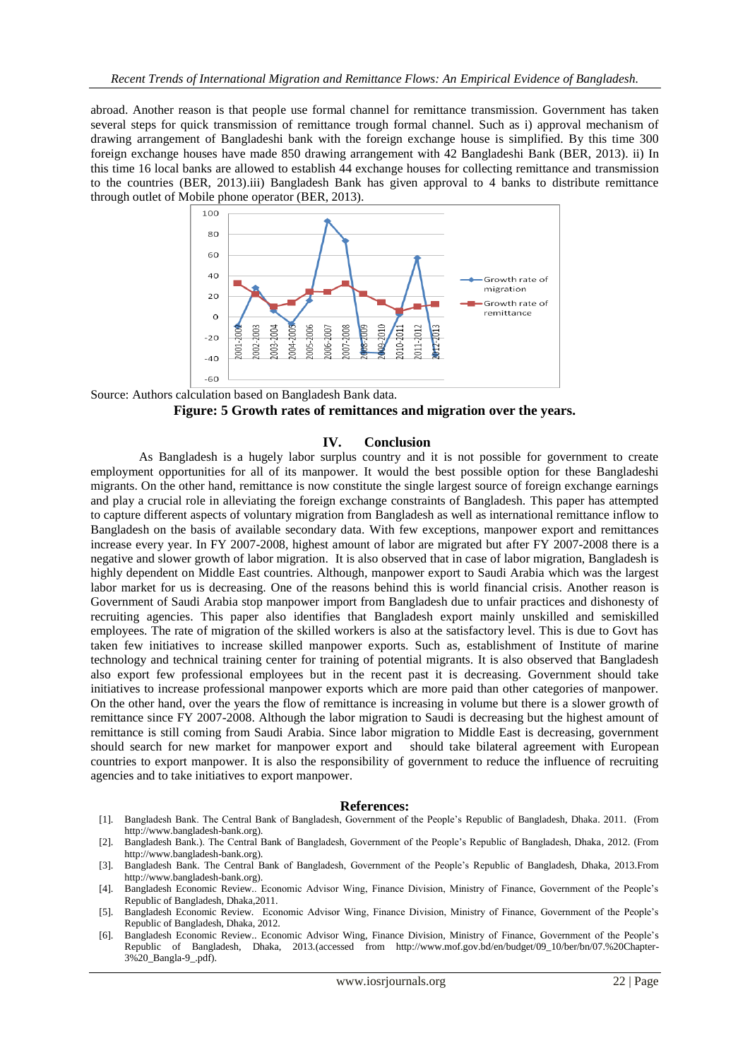abroad. Another reason is that people use formal channel for remittance transmission. Government has taken several steps for quick transmission of remittance trough formal channel. Such as i) approval mechanism of drawing arrangement of Bangladeshi bank with the foreign exchange house is simplified. By this time 300 foreign exchange houses have made 850 drawing arrangement with 42 Bangladeshi Bank (BER, 2013). ii) In this time 16 local banks are allowed to establish 44 exchange houses for collecting remittance and transmission to the countries (BER, 2013).iii) Bangladesh Bank has given approval to 4 banks to distribute remittance through outlet of Mobile phone operator (BER, 2013).



Source: Authors calculation based on Bangladesh Bank data. **Figure: 5 Growth rates of remittances and migration over the years.**

#### **IV. Conclusion**

As Bangladesh is a hugely labor surplus country and it is not possible for government to create employment opportunities for all of its manpower. It would the best possible option for these Bangladeshi migrants. On the other hand, remittance is now constitute the single largest source of foreign exchange earnings and play a crucial role in alleviating the foreign exchange constraints of Bangladesh. This paper has attempted to capture different aspects of voluntary migration from Bangladesh as well as international remittance inflow to Bangladesh on the basis of available secondary data. With few exceptions, manpower export and remittances increase every year. In FY 2007-2008, highest amount of labor are migrated but after FY 2007-2008 there is a negative and slower growth of labor migration. It is also observed that in case of labor migration, Bangladesh is highly dependent on Middle East countries. Although, manpower export to Saudi Arabia which was the largest labor market for us is decreasing. One of the reasons behind this is world financial crisis. Another reason is Government of Saudi Arabia stop manpower import from Bangladesh due to unfair practices and dishonesty of recruiting agencies. This paper also identifies that Bangladesh export mainly unskilled and semiskilled employees. The rate of migration of the skilled workers is also at the satisfactory level. This is due to Govt has taken few initiatives to increase skilled manpower exports. Such as, establishment of Institute of marine technology and technical training center for training of potential migrants. It is also observed that Bangladesh also export few professional employees but in the recent past it is decreasing. Government should take initiatives to increase professional manpower exports which are more paid than other categories of manpower. On the other hand, over the years the flow of remittance is increasing in volume but there is a slower growth of remittance since FY 2007-2008. Although the labor migration to Saudi is decreasing but the highest amount of remittance is still coming from Saudi Arabia. Since labor migration to Middle East is decreasing, government should search for new market for manpower export and should take bilateral agreement with European countries to export manpower. It is also the responsibility of government to reduce the influence of recruiting agencies and to take initiatives to export manpower.

#### **References:**

- [1]. Bangladesh Bank. The Central Bank of Bangladesh, Government of the People's Republic of Bangladesh, Dhaka. 2011. (From http://www.bangladesh-bank.org).
- [2]. Bangladesh Bank.). The Central Bank of Bangladesh, Government of the People's Republic of Bangladesh, Dhaka, 2012. (From http://www.bangladesh-bank.org).
- [3]. Bangladesh Bank. The Central Bank of Bangladesh, Government of the People's Republic of Bangladesh, Dhaka, 2013.From http://www.bangladesh-bank.org).
- [4]. Bangladesh Economic Review.. Economic Advisor Wing, Finance Division, Ministry of Finance, Government of the People's Republic of Bangladesh, Dhaka,2011.
- [5]. Bangladesh Economic Review. Economic Advisor Wing, Finance Division, Ministry of Finance, Government of the People's Republic of Bangladesh, Dhaka, 2012.
- [6]. Bangladesh Economic Review.. Economic Advisor Wing, Finance Division, Ministry of Finance, Government of the People's Republic of Bangladesh, Dhaka, 2013.(accessed from http://www.mof.gov.bd/en/budget/09\_10/ber/bn/07.%20Chapter-3%20\_Bangla-9\_.pdf).